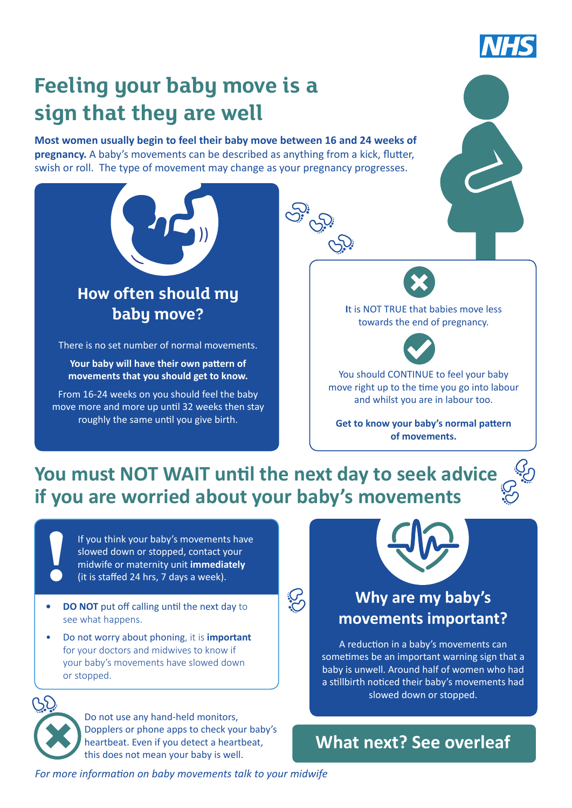

# **Feeling your baby move is a sign that they are well**

**Most women usually begin to feel their baby move between 16 and 24 weeks of pregnancy.** A baby's movements can be described as anything from a kick, flutter, swish or roll. The type of movement may change as your pregnancy progresses.



**Get to know your baby's normal pattern of movements.**

## **You must NOT WAIT until the next day to seek advice if you are worried about your baby's movements**

**SS:** 

If you think your baby's movements have slowed down or stopped, contact your midwife or maternity unit **immediately**  (it is staffed 24 hrs, 7 days a week).

roughly the same until you give birth.

- **• DO NOT** put off calling until the next day to see what happens.
- Do not worry about phoning, it is **important**  for your doctors and midwives to know if your baby's movements have slowed down or stopped.



**!**

Do not use any hand-held monitors, Dopplers or phone apps to check your baby's heartbeat. Even if you detect a heartbeat, this does not mean your baby is well.



### **Why are my baby's movements important?**

A reduction in a baby's movements can sometimes be an important warning sign that a baby is unwell. Around half of women who had a stillbirth noticed their baby's movements had slowed down or stopped.

**What next? See overleaf**

*For more information on baby movements talk to your midwife*